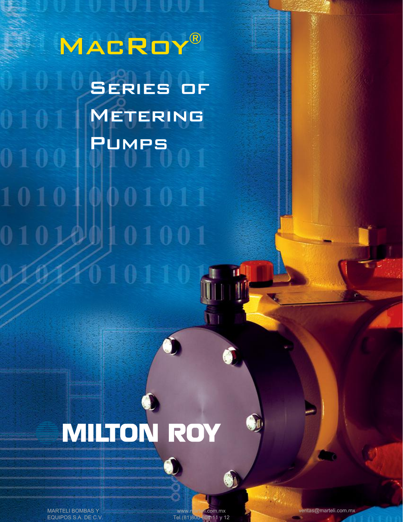MACROY® Series of Series of Metering Metering 0101 Pumps Pumps 0100 101010 001011 01001 010

UIVIUVI

# $\bullet$ **MILTON ROY**

Ń

6

 $010110$ 

MARTELI BOMBAS Y EQUIPOS S.A. DE C.V.

www.marteli.com.mx<br>el.(81)800-804-11 y 12 Tel.(81)800

 $\bullet$ 

 $\bullet$ 

ventas@marteli.com.mx

大学の あいかん あいかん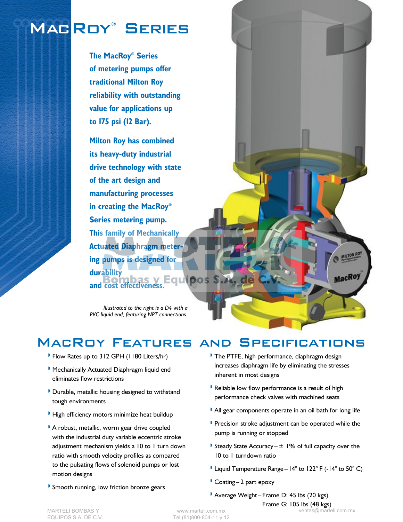# MACROY® SERIES

**The MacRoy® Series of metering pumps offer traditional Milton Roy reliability with outstanding value for applications up to 175 psi (12 Bar).**

**Milton Roy has combined its heavy-duty industrial drive technology with state of the art design and manufacturing processes in creating the MacRoy® Series metering pump. This family of Mechanically Actuated Diaphragm metering pumps is designed for durability and cost effectiveness.** 

*Illustrated to the right is a D4 with a PVC liquid end, featuring NPT connections.*

## MacRoy Features and Specifications

- » Flow Rates up to 312 GPH (1180 Liters/hr)
- » Mechanically Actuated Diaphragm liquid end eliminates flow restrictions
- » Durable, metallic housing designed to withstand tough environments
- » High efficiency motors minimize heat buildup
- » A robust, metallic, worm gear drive coupled with the industrial duty variable eccentric stroke adjustment mechanism yields a 10 to 1 turn down ratio with smooth velocity profiles as compared to the pulsating flows of solenoid pumps or lost motion designs
- » Smooth running, low friction bronze gears

» The PTFE, high performance, diaphragm design increases diaphragm life by eliminating the stresses inherent in most designs

MILTON ROY

MacRoy

- » Reliable low flow performance is a result of high performance check valves with machined seats
- » All gear components operate in an oil bath for long life
- » Precision stroke adjustment can be operated while the pump is running or stopped
- Steady State Accuracy  $\pm$  1% of full capacity over the 10 to 1 turndown ratio
- » Liquid Temperature Range 14° to 122° F (-14° to 50° C)
- » Coating 2 part epoxy
- » Average Weight Frame D: 45 lbs (20 kgs)

Frame G: 105 lbs (48 kgs) ventas@marteli.com.mx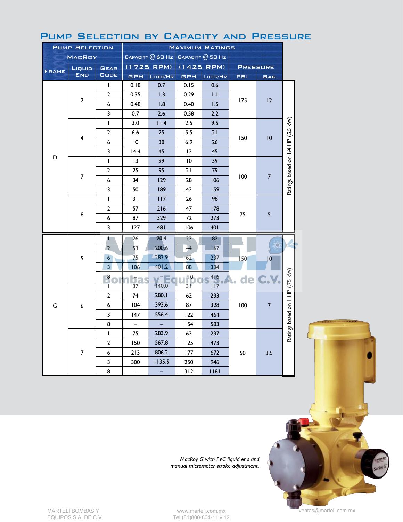| <b>PUMP SELECTION</b> |                | <b>MAXIMUM RATINGS</b> |                 |                          |                                           |          |                 |                  |                                  |
|-----------------------|----------------|------------------------|-----------------|--------------------------|-------------------------------------------|----------|-----------------|------------------|----------------------------------|
| <b>MACROY</b>         |                |                        |                 |                          | CAPACITY $@$ 60 Hz $ $ CAPACITY $@$ 50 Hz |          |                 |                  |                                  |
| Liquip                |                | <b>GEAR</b>            | (1725 RPM)      |                          | $(1425$ RPM)                              |          | <b>PRESSURE</b> |                  |                                  |
| <b>FRAME</b>          | <b>END</b>     | <b>GODE</b>            | <b>GPH</b>      | LITER/HR                 | <b>GPH</b>                                | LITER/HR | PSI             | <b>BAR</b>       |                                  |
|                       | $\mathbf{2}$   | L                      | 0.18            | 0.7                      | 0.15                                      | 0.6      |                 | 12               |                                  |
|                       |                | $\overline{2}$         | 0.35            | 1.3                      | 0.29                                      | 1.1      |                 |                  |                                  |
|                       |                | 6                      | 0.48            | 1.8                      | 0.40                                      | 1.5      | 175             |                  |                                  |
|                       |                | 3                      | 0.7             | 2.6                      | 0.58                                      | 2.2      |                 |                  |                                  |
|                       |                | L                      | 3.0             | 11.4                     | 2.5                                       | 9.5      |                 | 10               |                                  |
|                       |                | $\overline{2}$         | 6.6             | 25                       | 5.5                                       | 21       |                 |                  | Ratings based on 1/4 HP (.25 kW) |
|                       | 4              | 6                      | $\overline{10}$ | 38                       | 6.9                                       | 26       | 150             |                  |                                  |
|                       |                | 3                      | 14.4            | 45                       | 12                                        | 45       |                 |                  |                                  |
| D                     |                | $\mathbf{I}$           | 13              | 99                       | 10                                        | 39       |                 | $\overline{7}$   |                                  |
|                       | $\overline{7}$ | 2                      | 25              | 95                       | 21                                        | 79       |                 |                  |                                  |
|                       |                | 6                      | 34              | 129                      | 28                                        | 106      | 100             |                  |                                  |
|                       |                | 3                      | 50              | 189                      | 42                                        | 159      |                 |                  |                                  |
|                       | 8              | L                      | 31              | 117                      | 26                                        | 98       |                 | 5                |                                  |
|                       |                | $\overline{2}$         | 57              | 216                      | 47                                        | 178      |                 |                  |                                  |
|                       |                | 6                      | 87              | 329                      | 72                                        | 273      | 75              |                  |                                  |
|                       |                | 3                      | 127             | 481                      | 106                                       | 401      |                 |                  |                                  |
|                       | 5              | П                      | 26              | 98.4                     | $22 \overline{ }$                         | 82       |                 | O<br>$ 0\rangle$ |                                  |
|                       |                | $\overline{2}$         | 53              | 200.6                    | 44                                        | 167      |                 |                  |                                  |
|                       |                | $6\overline{6}$        | 75              | 283.9                    | 62                                        | 237      | 150             |                  |                                  |
|                       |                | $\overline{3}$         | 106             | 401.2                    | 88                                        | 334      |                 |                  |                                  |
|                       |                | $\bf{8}$               | ha              | $v^-$ Fe                 | $\blacksquare$                            | 416      | de              |                  |                                  |
|                       | 6              | L                      | 37              | 140.0                    | 3 F                                       | 117      |                 |                  | Ratings based on 1 HP (.75 kW)   |
| G                     |                | 2                      | 74              | 280.1                    | 62                                        | 233      |                 |                  |                                  |
|                       |                | 6                      | 104             | 393.6                    | 87                                        | 328      | 100             | $\overline{7}$   |                                  |
|                       |                | 3                      | 147             | 556.4                    | 122                                       | 464      |                 |                  |                                  |
|                       |                | 8                      | $\equiv$        |                          | 154                                       | 583      |                 |                  |                                  |
|                       | $\overline{7}$ | $\mathsf{I}$           | 75              | 283.9                    | 62                                        | 237      |                 |                  |                                  |
|                       |                | $\overline{2}$         | 150             | 567.8                    | 125                                       | 473      |                 |                  |                                  |
|                       |                | 6                      | 213             | 806.2                    | 177                                       | 672      | 50              | 3.5              |                                  |
|                       |                | 3                      | 300             | 1135.5                   | 250                                       | 946      |                 |                  |                                  |
|                       |                |                        | 8               | $\overline{\phantom{0}}$ |                                           | 312      | 1181            |                  |                                  |

#### Pump Selection by Capacity and Pressure

*MacRoy G with PVC liquid end and manual micrometer stroke adjustment.*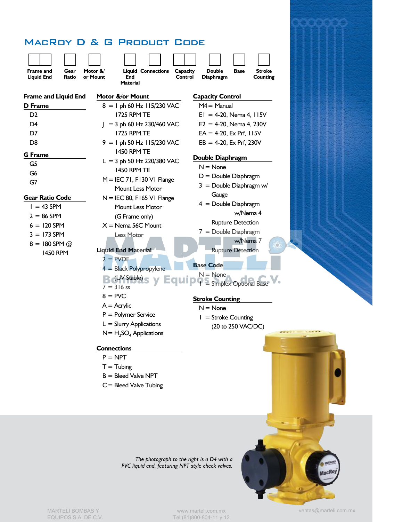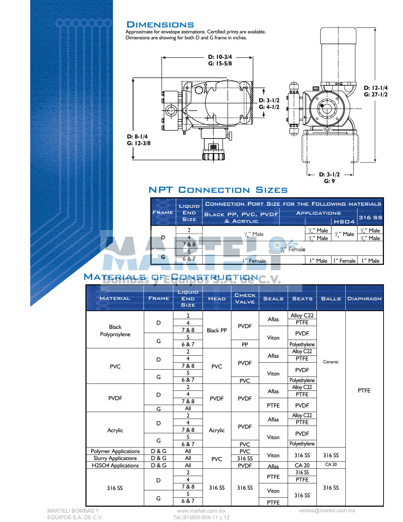#### **DIMENSIONS**

Approximate for envelope estimations. Certified prints are available. Dimensions are showing for both D and G frame in inches.





#### NPT Connection Sizes

|              | Liquip<br><b>END</b><br><b>SIZE</b> | CONNECTION PORT SIZE FOR THE FOLLOWING MATERIALS |        |                       |                      |               |  |  |
|--------------|-------------------------------------|--------------------------------------------------|--------|-----------------------|----------------------|---------------|--|--|
| <b>FRAME</b> |                                     | <b>BLACK PP, PVC, PVDF</b><br>& ACRYLIC          |        | <b>APPLICATIONS</b>   | HSO4                 | <b>316 SS</b> |  |  |
| D            |                                     | $\frac{1}{4}$ " Male                             |        | /," Male<br>"/." Male | $\frac{1}{4}$ " Male | Male<br>Male  |  |  |
|              | 7 & 8                               |                                                  | Female |                       |                      |               |  |  |
| G            | 687                                 | Female                                           |        | l " Male              | l " Female           | Male          |  |  |

### MATERIALS OF CONSTRUCTIONC.V.

| <b>MATERIAL</b>              | <b>FRAME</b> | Liquip<br><b>END</b><br><b>SIZE</b> | <b>HEAD</b>     | <b>CHECK</b><br><b>VALVE</b> | <b>SEALS</b> | <b>SEATS</b>             | <b>BALLS</b> | <b>DIAPHRAGM</b> |
|------------------------------|--------------|-------------------------------------|-----------------|------------------------------|--------------|--------------------------|--------------|------------------|
|                              | D            | $\overline{2}$<br>$\overline{4}$    | <b>Black PP</b> | <b>PVDF</b>                  | Aflas        | Alloy C22<br><b>PTFE</b> | Ceramic      | <b>PTFE</b>      |
| <b>Black</b><br>Polyproylene |              | 7 & 8                               |                 |                              | Viton        | <b>PVDF</b>              |              |                  |
|                              | G            | 5                                   |                 |                              |              |                          |              |                  |
|                              |              | 6 & 7                               |                 | PP                           |              | Polyethylene             |              |                  |
|                              | D<br>G       | $\overline{2}$                      | <b>PVC</b>      | <b>PVDF</b>                  | Aflas        | Alloy C22                |              |                  |
|                              |              | $\overline{4}$                      |                 |                              |              | <b>PTFE</b>              |              |                  |
| <b>PVC</b>                   |              | 7 & 8<br>5                          |                 |                              | Viton        | <b>PVDF</b>              |              |                  |
|                              |              | 6 & 7                               |                 | <b>PVC</b>                   |              | Polyethylene             |              |                  |
|                              | D            | $\overline{2}$                      | <b>PVDF</b>     | <b>PVDF</b>                  | <b>Aflas</b> | Alloy C22                |              |                  |
|                              |              | $\overline{4}$                      |                 |                              |              | <b>PTFE</b>              |              |                  |
| <b>PVDF</b>                  |              | 7&8                                 |                 |                              | <b>PTFE</b>  |                          |              |                  |
|                              | G            | All                                 |                 |                              |              | <b>PVDF</b>              |              |                  |
|                              | D            | $\overline{2}$                      | Acrylic         | <b>PVDF</b>                  | Aflas        | Alloy C22                |              |                  |
|                              |              | $\overline{\mathbf{4}}$             |                 |                              |              | <b>PTFE</b>              |              |                  |
| Acrylic                      |              | 7 & 8                               |                 |                              | Viton        | <b>PVDF</b>              |              |                  |
|                              | G            | 5                                   |                 |                              |              |                          |              |                  |
|                              |              | 6 & 7                               |                 | <b>PVC</b>                   |              | Polyethylene             |              |                  |
| <b>Polymer Applications</b>  | D & G        | All                                 | <b>PVC</b>      | <b>PVC</b>                   | Viton        | 316 SS                   | 316 SS       |                  |
| <b>Slurry Applications</b>   | D & G        | All                                 |                 | 316 SS                       |              |                          | CA 20        |                  |
| <b>H2SO4 Applications</b>    | D & G        | All<br>$\mathbf{2}$                 | 316 SS          | <b>PVDF</b><br>316 SS        | <b>Aflas</b> | <b>CA 20</b>             |              |                  |
|                              |              | $\overline{4}$                      |                 |                              | <b>PTFE</b>  | 316 SS<br><b>PTFE</b>    |              |                  |
|                              | D            | 7 & 8                               |                 |                              | <b>Viton</b> |                          |              |                  |
| 316 SS                       | G            | 5                                   |                 |                              |              | 316 SS                   | 316 SS       |                  |
|                              |              | 6 & 7                               |                 |                              | <b>PTFE</b>  |                          |              |                  |

www.marteli.com.mx Tel.(81)800-804-11 y 12 ventas@marteli.com.mx